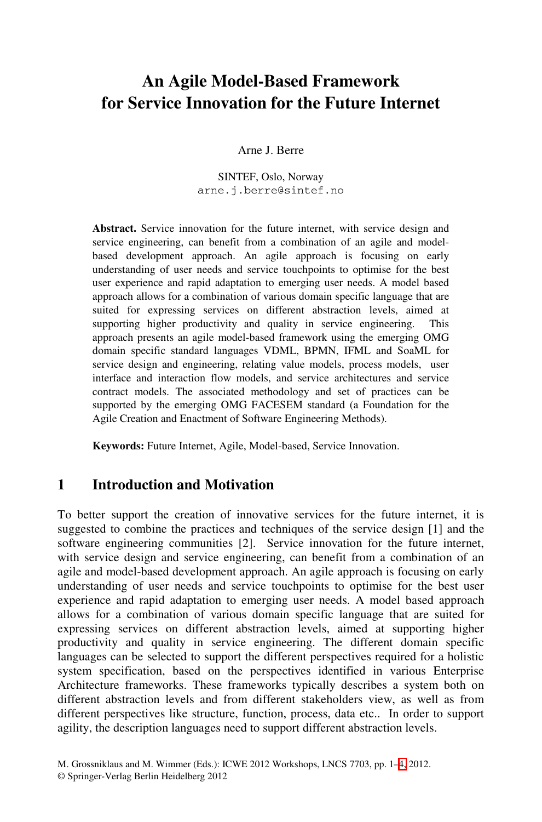# **An Agile Model-Based Framework for Service Innovation for the Future Internet**

#### Arne J. Berre

SINTEF, Oslo, Norway arne.j.berre@sintef.no

**Abstract.** Service innovation for the future internet, with service design and service engineering, can benefit from a combination of an agile and modelbased development approach. An agile approach is focusing on early understanding of user needs and service touchpoints to optimise for the best user experience and rapid adaptation to emerging user needs. A model based approach allows for a combination of various domain specific language that are suited for expressing services on different abstraction levels, aimed at supporting higher productivity and quality in service engineering. This supporting higher productivity and quality in service engineering. approach presents an agile model-based framework using the emerging OMG domain specific standard languages VDML, BPMN, IFML and SoaML for service design and engineering, relating value models, process models, user interface and interaction flow models, and service architectures and service contract models. The associated methodology and set of practices can be supported by the emerging OMG FACESEM standard (a Foundation for the Agile Creation and Enactment of Software Engineering Methods).

**Keywords:** Future Internet, Agile, Model-based, Service Innovation.

#### **1 Introduction and Motivation**

To better support the creation of innovative services for the future internet, it is suggested to combine the practices and techniques of the service design [1] and the software engineering communities [2]. Service innovation for the future internet, with service design and service engineering, can benefit from a combination of an agile and model-based development approach. An agile approach is focusing on early understanding of user needs and service touchpoints to optimise for the best user experience and rapid adaptation to emerging user needs. A model based approach allows for a combination of various domain specific language that are suited for expressing services on different abstraction levels, aimed at supporting higher productivity and quality in service engineering. The different domain specific languages can be selected to support the differen[t p](#page-3-0)erspectives required for a holistic system specification, based on the perspectives identified in various Enterprise Architecture frameworks. These frameworks typically describes a system both on different abstraction levels and from different stakeholders view, as well as from different perspectives like structure, function, process, data etc.. In order to support agility, the description languages need to support different abstraction levels.

M. Grossniklaus and M. Wimmer (Eds.): ICWE 2012 Workshops, LNCS 7703, pp. 1–4, 2012. © Springer-Verlag Berlin Heidelberg 2012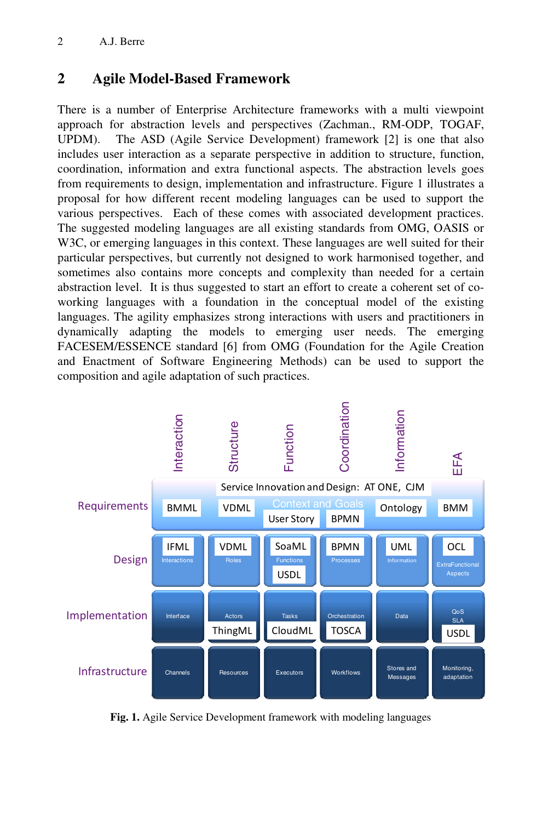# **2 Agile Model-Based Framework**

There is a number of Enterprise Architecture frameworks with a multi viewpoint approach for abstraction levels and perspectives (Zachman., RM-ODP, TOGAF, UPDM). The ASD (Agile Service Development) framework [2] is one that also includes user interaction as a separate perspective in addition to structure, function, coordination, information and extra functional aspects. The abstraction levels goes from requirements to design, implementation and infrastructure. Figure 1 illustrates a proposal for how different recent modeling languages can be used to support the various perspectives. Each of these comes with associated development practices. The suggested modeling languages are all existing standards from OMG, OASIS or W3C, or emerging languages in this context. These languages are well suited for their particular perspectives, but currently not designed to work harmonised together, and sometimes also contains more concepts and complexity than needed for a certain abstraction level. It is thus suggested to start an effort to create a coherent set of coworking languages with a foundation in the conceptual model of the existing languages. The agility emphasizes strong interactions with users and practitioners in dynamically adapting the models to emerging user needs. The emerging FACESEM/ESSENCE standard [6] from OMG (Foundation for the Agile Creation and Enactment of Software Engineering Methods) can be used to support the composition and agile adaptation of such practices.



**Fig. 1.** Agile Service Development framework with modeling languages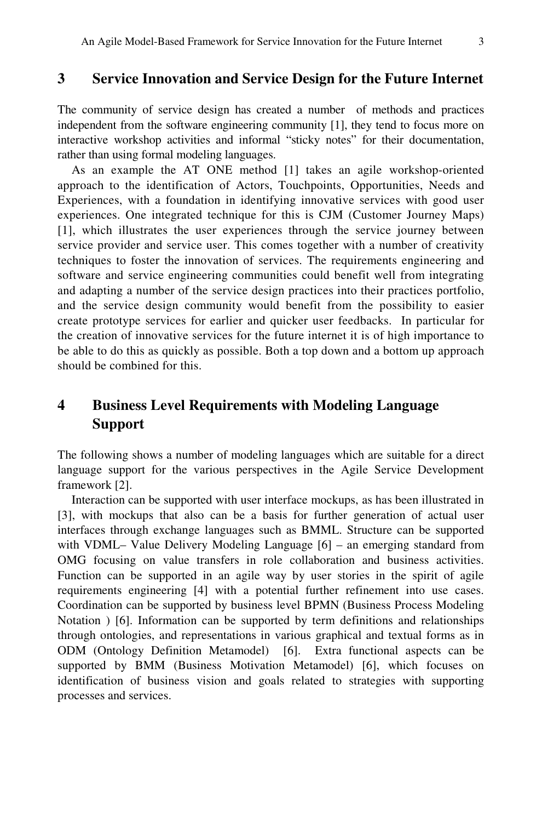#### **3 Service Innovation and Service Design for the Future Internet**

The community of service design has created a number of methods and practices independent from the software engineering community [1], they tend to focus more on interactive workshop activities and informal "sticky notes" for their documentation, rather than using formal modeling languages.

As an example the AT ONE method [1] takes an agile workshop-oriented approach to the identification of Actors, Touchpoints, Opportunities, Needs and Experiences, with a foundation in identifying innovative services with good user experiences. One integrated technique for this is CJM (Customer Journey Maps) [1], which illustrates the user experiences through the service journey between service provider and service user. This comes together with a number of creativity techniques to foster the innovation of services. The requirements engineering and software and service engineering communities could benefit well from integrating and adapting a number of the service design practices into their practices portfolio, and the service design community would benefit from the possibility to easier create prototype services for earlier and quicker user feedbacks. In particular for the creation of innovative services for the future internet it is of high importance to be able to do this as quickly as possible. Both a top down and a bottom up approach should be combined for this.

# **4 Business Level Requirements with Modeling Language Support**

The following shows a number of modeling languages which are suitable for a direct language support for the various perspectives in the Agile Service Development framework [2].

Interaction can be supported with user interface mockups, as has been illustrated in [3], with mockups that also can be a basis for further generation of actual user interfaces through exchange languages such as BMML. Structure can be supported with VDML– Value Delivery Modeling Language [6] – an emerging standard from OMG focusing on value transfers in role collaboration and business activities. Function can be supported in an agile way by user stories in the spirit of agile requirements engineering [4] with a potential further refinement into use cases. Coordination can be supported by business level BPMN (Business Process Modeling Notation ) [6]. Information can be supported by term definitions and relationships through ontologies, and representations in various graphical and textual forms as in ODM (Ontology Definition Metamodel) [6]. Extra functional aspects can be supported by BMM (Business Motivation Metamodel) [6], which focuses on identification of business vision and goals related to strategies with supporting processes and services.